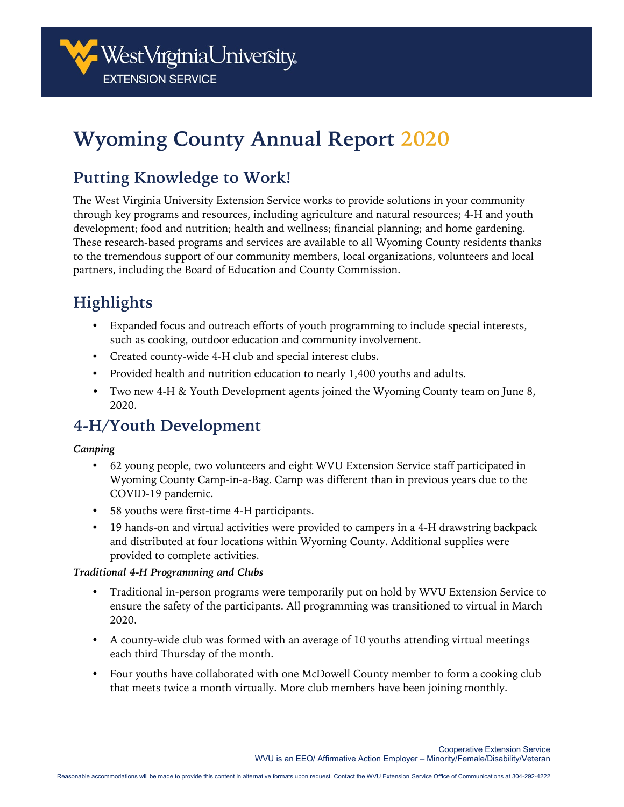

# **Wyoming County Annual Report 2020**

## **Putting Knowledge to Work!**

The West Virginia University Extension Service works to provide solutions in your community through key programs and resources, including agriculture and natural resources; 4-H and youth development; food and nutrition; health and wellness; financial planning; and home gardening. These research-based programs and services are available to all Wyoming County residents thanks to the tremendous support of our community members, local organizations, volunteers and local partners, including the Board of Education and County Commission.

## **Highlights**

- Expanded focus and outreach efforts of youth programming to include special interests, such as cooking, outdoor education and community involvement.
- Created county-wide 4-H club and special interest clubs.
- Provided health and nutrition education to nearly 1,400 youths and adults.
- Two new 4-H & Youth Development agents joined the Wyoming County team on June 8, 2020.

## **4-H/Youth Development**

#### *Camping*

- 62 young people, two volunteers and eight WVU Extension Service staff participated in Wyoming County Camp-in-a-Bag. Camp was different than in previous years due to the COVID-19 pandemic.
- 58 youths were first-time 4-H participants.
- 19 hands-on and virtual activities were provided to campers in a 4-H drawstring backpack and distributed at four locations within Wyoming County. Additional supplies were provided to complete activities.

#### *Traditional 4-H Programming and Clubs*

- Traditional in-person programs were temporarily put on hold by WVU Extension Service to ensure the safety of the participants. All programming was transitioned to virtual in March 2020.
- A county-wide club was formed with an average of 10 youths attending virtual meetings each third Thursday of the month.
- Four youths have collaborated with one McDowell County member to form a cooking club that meets twice a month virtually. More club members have been joining monthly.